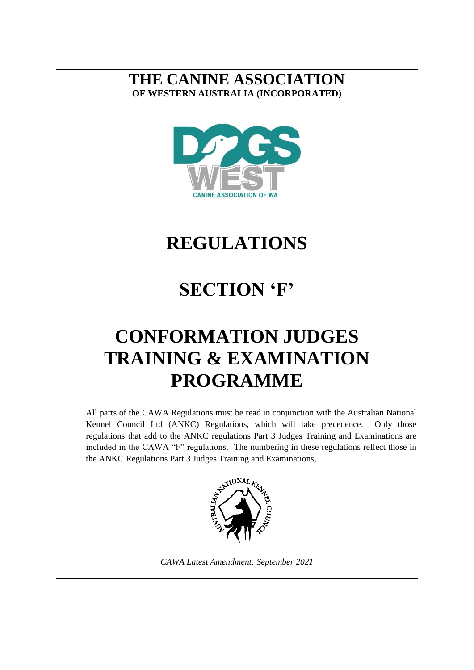# **THE CANINE ASSOCIATION OF WESTERN AUSTRALIA (INCORPORATED)**



# **REGULATIONS**

# **SECTION 'F'**

# **CONFORMATION JUDGES TRAINING & EXAMINATION PROGRAMME**

All parts of the CAWA Regulations must be read in conjunction with the Australian National Kennel Council Ltd (ANKC) Regulations, which will take precedence. Only those regulations that add to the ANKC regulations Part 3 Judges Training and Examinations are included in the CAWA "F" regulations. The numbering in these regulations reflect those in the ANKC Regulations Part 3 Judges Training and Examinations,



*CAWA Latest Amendment: September 2021*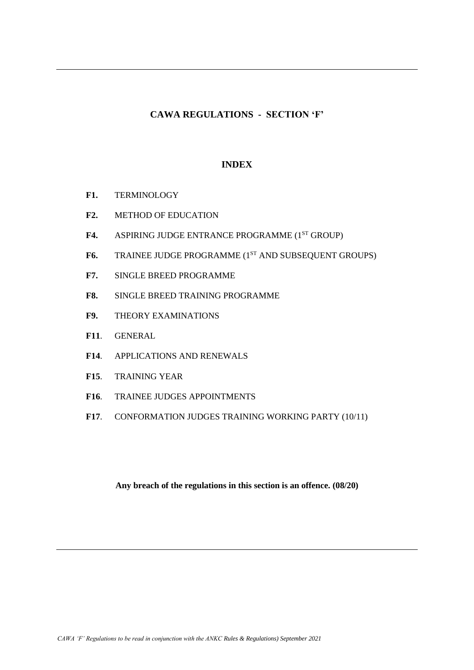# **CAWA REGULATIONS - SECTION 'F'**

# **INDEX**

- **F1.** TERMINOLOGY
- **F2.** METHOD OF EDUCATION
- F4. ASPIRING JUDGE ENTRANCE PROGRAMME (1<sup>ST</sup> GROUP)
- F6. TRAINEE JUDGE PROGRAMME (1<sup>ST</sup> AND SUBSEQUENT GROUPS)
- **F7.** SINGLE BREED PROGRAMME
- **F8.** SINGLE BREED TRAINING PROGRAMME
- **F9.** THEORY EXAMINATIONS
- **F11**. GENERAL
- **F14**. APPLICATIONS AND RENEWALS
- **F15**. TRAINING YEAR
- **F16**. TRAINEE JUDGES APPOINTMENTS
- **F17**. CONFORMATION JUDGES TRAINING WORKING PARTY (10/11)

**Any breach of the regulations in this section is an offence. (08/20)**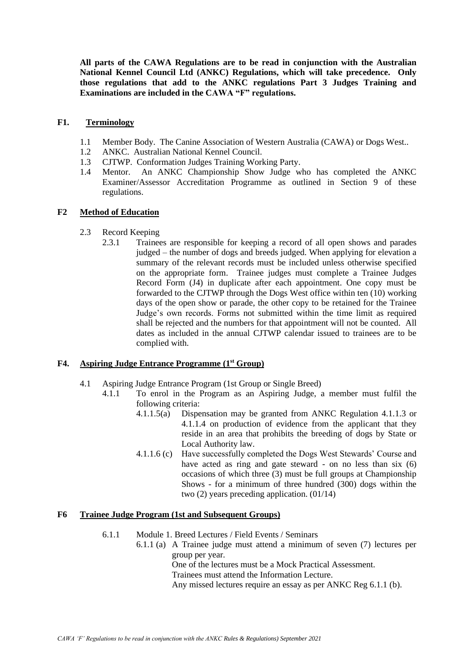**All parts of the CAWA Regulations are to be read in conjunction with the Australian National Kennel Council Ltd (ANKC) Regulations, which will take precedence. Only those regulations that add to the ANKC regulations Part 3 Judges Training and Examinations are included in the CAWA "F" regulations.**

### **F1. Terminology**

- 1.1 Member Body. The Canine Association of Western Australia (CAWA) or Dogs West..
- 1.2 ANKC. Australian National Kennel Council.
- 1.3 CJTWP. Conformation Judges Training Working Party.
- 1.4 Mentor. An ANKC Championship Show Judge who has completed the ANKC Examiner/Assessor Accreditation Programme as outlined in Section 9 of these regulations.

# **F2 Method of Education**

- 2.3 Record Keeping
	- 2.3.1 Trainees are responsible for keeping a record of all open shows and parades judged – the number of dogs and breeds judged. When applying for elevation a summary of the relevant records must be included unless otherwise specified on the appropriate form. Trainee judges must complete a Trainee Judges Record Form (J4) in duplicate after each appointment. One copy must be forwarded to the CJTWP through the Dogs West office within ten (10) working days of the open show or parade, the other copy to be retained for the Trainee Judge's own records. Forms not submitted within the time limit as required shall be rejected and the numbers for that appointment will not be counted. All dates as included in the annual CJTWP calendar issued to trainees are to be complied with.

### **F4. Aspiring Judge Entrance Programme (1st Group)**

- 4.1 Aspiring Judge Entrance Program (1st Group or Single Breed)
	- 4.1.1 To enrol in the Program as an Aspiring Judge, a member must fulfil the following criteria:
		- 4.1.1.5(a) Dispensation may be granted from ANKC Regulation 4.1.1.3 or 4.1.1.4 on production of evidence from the applicant that they reside in an area that prohibits the breeding of dogs by State or Local Authority law.
		- 4.1.1.6 (c) Have successfully completed the Dogs West Stewards' Course and have acted as ring and gate steward - on no less than six (6) occasions of which three (3) must be full groups at Championship Shows - for a minimum of three hundred (300) dogs within the two (2) years preceding application. (01/14)

# **F6 Trainee Judge Program (1st and Subsequent Groups)**

- 6.1.1 Module 1. Breed Lectures / Field Events / Seminars
	- 6.1.1 (a) A Trainee judge must attend a minimum of seven (7) lectures per group per year. One of the lectures must be a Mock Practical Assessment. Trainees must attend the Information Lecture.

Any missed lectures require an essay as per ANKC Reg 6.1.1 (b).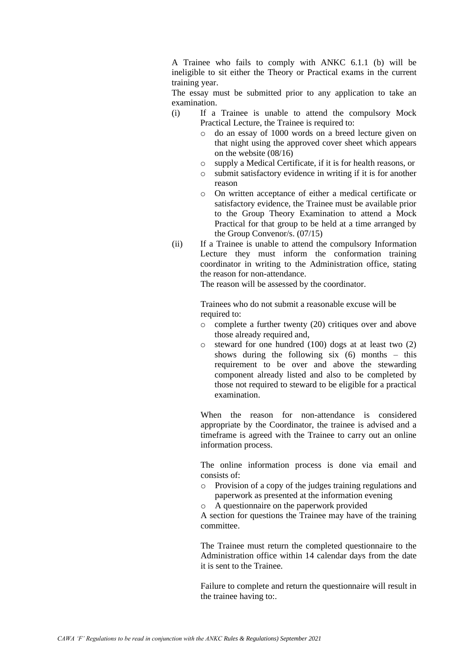A Trainee who fails to comply with ANKC 6.1.1 (b) will be ineligible to sit either the Theory or Practical exams in the current training year.

The essay must be submitted prior to any application to take an examination.

- (i) If a Trainee is unable to attend the compulsory Mock Practical Lecture, the Trainee is required to:
	- o do an essay of 1000 words on a breed lecture given on that night using the approved cover sheet which appears on the website (08/16)
	- o supply a Medical Certificate, if it is for health reasons, or
	- o submit satisfactory evidence in writing if it is for another reason
	- o On written acceptance of either a medical certificate or satisfactory evidence, the Trainee must be available prior to the Group Theory Examination to attend a Mock Practical for that group to be held at a time arranged by the Group Convenor/s. (07/15)
- (ii) If a Trainee is unable to attend the compulsory Information Lecture they must inform the conformation training coordinator in writing to the Administration office, stating the reason for non-attendance.

The reason will be assessed by the coordinator.

Trainees who do not submit a reasonable excuse will be required to:

- o complete a further twenty (20) critiques over and above those already required and,
- o steward for one hundred (100) dogs at at least two (2) shows during the following six  $(6)$  months – this requirement to be over and above the stewarding component already listed and also to be completed by those not required to steward to be eligible for a practical examination.

When the reason for non-attendance is considered appropriate by the Coordinator, the trainee is advised and a timeframe is agreed with the Trainee to carry out an online information process.

The online information process is done via email and consists of:

- o Provision of a copy of the judges training regulations and paperwork as presented at the information evening
- o A questionnaire on the paperwork provided

A section for questions the Trainee may have of the training committee.

The Trainee must return the completed questionnaire to the Administration office within 14 calendar days from the date it is sent to the Trainee.

Failure to complete and return the questionnaire will result in the trainee having to:.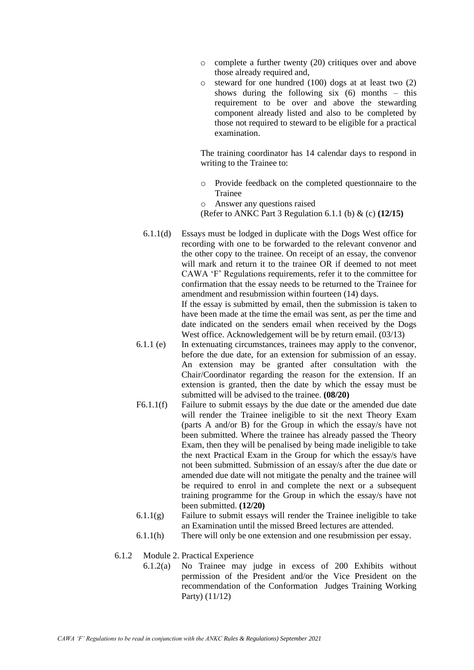- o complete a further twenty (20) critiques over and above those already required and,
- o steward for one hundred (100) dogs at at least two (2) shows during the following six  $(6)$  months – this requirement to be over and above the stewarding component already listed and also to be completed by those not required to steward to be eligible for a practical examination.

The training coordinator has 14 calendar days to respond in writing to the Trainee to:

- o Provide feedback on the completed questionnaire to the Trainee
- o Answer any questions raised
- (Refer to ANKC Part 3 Regulation 6.1.1 (b) & (c) **(12/15)**
- 6.1.1(d) Essays must be lodged in duplicate with the Dogs West office for recording with one to be forwarded to the relevant convenor and the other copy to the trainee. On receipt of an essay, the convenor will mark and return it to the trainee OR if deemed to not meet CAWA 'F' Regulations requirements, refer it to the committee for confirmation that the essay needs to be returned to the Trainee for amendment and resubmission within fourteen (14) days. If the essay is submitted by email, then the submission is taken to have been made at the time the email was sent, as per the time and

date indicated on the senders email when received by the Dogs West office. Acknowledgement will be by return email.  $(03/13)$ 

- 6.1.1 (e) In extenuating circumstances, trainees may apply to the convenor, before the due date, for an extension for submission of an essay. An extension may be granted after consultation with the Chair/Coordinator regarding the reason for the extension. If an extension is granted, then the date by which the essay must be submitted will be advised to the trainee. **(08/20)**
- F6.1.1(f) Failure to submit essays by the due date or the amended due date will render the Trainee ineligible to sit the next Theory Exam (parts A and/or B) for the Group in which the essay/s have not been submitted. Where the trainee has already passed the Theory Exam, then they will be penalised by being made ineligible to take the next Practical Exam in the Group for which the essay/s have not been submitted. Submission of an essay/s after the due date or amended due date will not mitigate the penalty and the trainee will be required to enrol in and complete the next or a subsequent training programme for the Group in which the essay/s have not been submitted. **(12/20)**
- 6.1.1(g) Failure to submit essays will render the Trainee ineligible to take an Examination until the missed Breed lectures are attended.
- 6.1.1(h) There will only be one extension and one resubmission per essay.
- 6.1.2 Module 2. Practical Experience
	- 6.1.2(a) No Trainee may judge in excess of 200 Exhibits without permission of the President and/or the Vice President on the recommendation of the Conformation Judges Training Working Party) (11/12)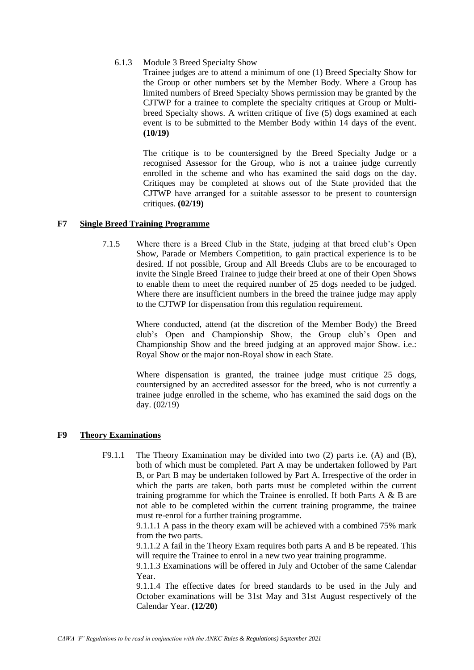6.1.3 Module 3 Breed Specialty Show

Trainee judges are to attend a minimum of one (1) Breed Specialty Show for the Group or other numbers set by the Member Body. Where a Group has limited numbers of Breed Specialty Shows permission may be granted by the CJTWP for a trainee to complete the specialty critiques at Group or Multibreed Specialty shows. A written critique of five (5) dogs examined at each event is to be submitted to the Member Body within 14 days of the event. **(10/19)**

The critique is to be countersigned by the Breed Specialty Judge or a recognised Assessor for the Group, who is not a trainee judge currently enrolled in the scheme and who has examined the said dogs on the day. Critiques may be completed at shows out of the State provided that the CJTWP have arranged for a suitable assessor to be present to countersign critiques. **(02/19)**

### **F7 Single Breed Training Programme**

7.1.5 Where there is a Breed Club in the State, judging at that breed club's Open Show, Parade or Members Competition, to gain practical experience is to be desired. If not possible, Group and All Breeds Clubs are to be encouraged to invite the Single Breed Trainee to judge their breed at one of their Open Shows to enable them to meet the required number of 25 dogs needed to be judged. Where there are insufficient numbers in the breed the trainee judge may apply to the CJTWP for dispensation from this regulation requirement.

> Where conducted, attend (at the discretion of the Member Body) the Breed club's Open and Championship Show, the Group club's Open and Championship Show and the breed judging at an approved major Show. i.e.: Royal Show or the major non-Royal show in each State.

> Where dispensation is granted, the trainee judge must critique 25 dogs, countersigned by an accredited assessor for the breed, who is not currently a trainee judge enrolled in the scheme, who has examined the said dogs on the day. (02/19)

### **F9 Theory Examinations**

F9.1.1 The Theory Examination may be divided into two (2) parts i.e. (A) and (B), both of which must be completed. Part A may be undertaken followed by Part B, or Part B may be undertaken followed by Part A. Irrespective of the order in which the parts are taken, both parts must be completed within the current training programme for which the Trainee is enrolled. If both Parts A & B are not able to be completed within the current training programme, the trainee must re-enrol for a further training programme.

> 9.1.1.1 A pass in the theory exam will be achieved with a combined 75% mark from the two parts.

> 9.1.1.2 A fail in the Theory Exam requires both parts A and B be repeated. This will require the Trainee to enrol in a new two year training programme.

> 9.1.1.3 Examinations will be offered in July and October of the same Calendar Year.

> 9.1.1.4 The effective dates for breed standards to be used in the July and October examinations will be 31st May and 31st August respectively of the Calendar Year. **(12/20)**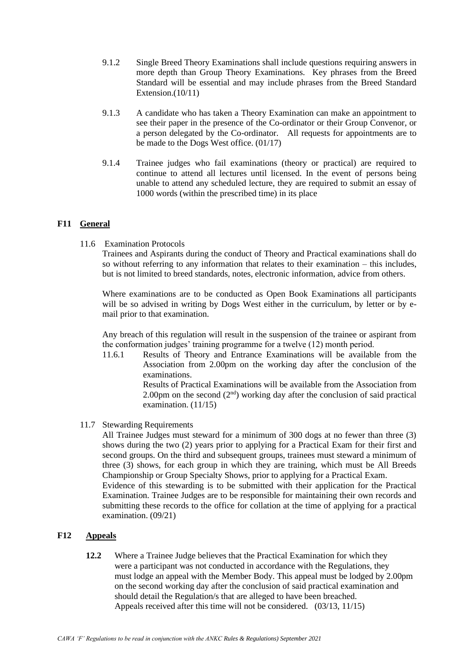- 9.1.2 Single Breed Theory Examinations shall include questions requiring answers in more depth than Group Theory Examinations. Key phrases from the Breed Standard will be essential and may include phrases from the Breed Standard Extension. $(10/11)$
- 9.1.3 A candidate who has taken a Theory Examination can make an appointment to see their paper in the presence of the Co-ordinator or their Group Convenor, or a person delegated by the Co-ordinator. All requests for appointments are to be made to the Dogs West office. (01/17)
- 9.1.4 Trainee judges who fail examinations (theory or practical) are required to continue to attend all lectures until licensed. In the event of persons being unable to attend any scheduled lecture, they are required to submit an essay of 1000 words (within the prescribed time) in its place

# **F11 General**

11.6 Examination Protocols

Trainees and Aspirants during the conduct of Theory and Practical examinations shall do so without referring to any information that relates to their examination – this includes, but is not limited to breed standards, notes, electronic information, advice from others.

Where examinations are to be conducted as Open Book Examinations all participants will be so advised in writing by Dogs West either in the curriculum, by letter or by email prior to that examination.

Any breach of this regulation will result in the suspension of the trainee or aspirant from the conformation judges' training programme for a twelve (12) month period.

11.6.1 Results of Theory and Entrance Examinations will be available from the Association from 2.00pm on the working day after the conclusion of the examinations.

Results of Practical Examinations will be available from the Association from 2.00pm on the second  $(2<sup>nd</sup>)$  working day after the conclusion of said practical examination. (11/15)

11.7 Stewarding Requirements

All Trainee Judges must steward for a minimum of 300 dogs at no fewer than three (3) shows during the two (2) years prior to applying for a Practical Exam for their first and second groups. On the third and subsequent groups, trainees must steward a minimum of three (3) shows, for each group in which they are training, which must be All Breeds Championship or Group Specialty Shows, prior to applying for a Practical Exam. Evidence of this stewarding is to be submitted with their application for the Practical Examination. Trainee Judges are to be responsible for maintaining their own records and submitting these records to the office for collation at the time of applying for a practical examination. (09/21)

### **F12 Appeals**

**12.2** Where a Trainee Judge believes that the Practical Examination for which they were a participant was not conducted in accordance with the Regulations, they must lodge an appeal with the Member Body. This appeal must be lodged by 2.00pm on the second working day after the conclusion of said practical examination and should detail the Regulation/s that are alleged to have been breached. Appeals received after this time will not be considered. (03/13, 11/15)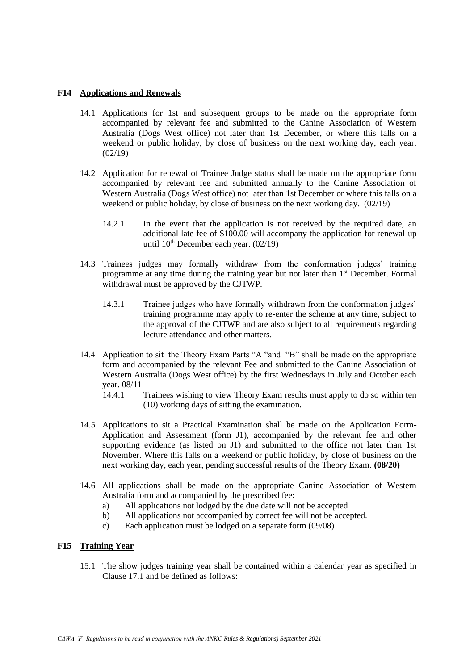### **F14 Applications and Renewals**

- 14.1 Applications for 1st and subsequent groups to be made on the appropriate form accompanied by relevant fee and submitted to the Canine Association of Western Australia (Dogs West office) not later than 1st December, or where this falls on a weekend or public holiday, by close of business on the next working day, each year.  $(02/19)$
- 14.2 Application for renewal of Trainee Judge status shall be made on the appropriate form accompanied by relevant fee and submitted annually to the Canine Association of Western Australia (Dogs West office) not later than 1st December or where this falls on a weekend or public holiday, by close of business on the next working day. (02/19)
	- 14.2.1 In the event that the application is not received by the required date, an additional late fee of \$100.00 will accompany the application for renewal up until  $10^{th}$  December each year.  $(02/19)$
- 14.3 Trainees judges may formally withdraw from the conformation judges' training programme at any time during the training year but not later than 1<sup>st</sup> December. Formal withdrawal must be approved by the CJTWP.
	- 14.3.1 Trainee judges who have formally withdrawn from the conformation judges' training programme may apply to re-enter the scheme at any time, subject to the approval of the CJTWP and are also subject to all requirements regarding lecture attendance and other matters.
- 14.4 Application to sit the Theory Exam Parts "A "and "B" shall be made on the appropriate form and accompanied by the relevant Fee and submitted to the Canine Association of Western Australia (Dogs West office) by the first Wednesdays in July and October each year. 08/11
	- 14.4.1 Trainees wishing to view Theory Exam results must apply to do so within ten (10) working days of sitting the examination.
- 14.5 Applications to sit a Practical Examination shall be made on the Application Form-Application and Assessment (form J1), accompanied by the relevant fee and other supporting evidence (as listed on J1) and submitted to the office not later than 1st November. Where this falls on a weekend or public holiday, by close of business on the next working day, each year, pending successful results of the Theory Exam. **(08/20)**
- 14.6 All applications shall be made on the appropriate Canine Association of Western Australia form and accompanied by the prescribed fee:
	- a) All applications not lodged by the due date will not be accepted
	- b) All applications not accompanied by correct fee will not be accepted.
	- c) Each application must be lodged on a separate form (09/08)

#### **F15 Training Year**

15.1 The show judges training year shall be contained within a calendar year as specified in Clause 17.1 and be defined as follows: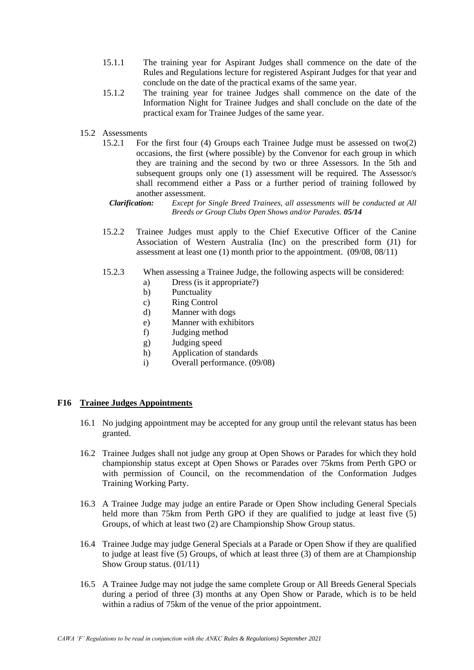- 15.1.1 The training year for Aspirant Judges shall commence on the date of the Rules and Regulations lecture for registered Aspirant Judges for that year and conclude on the date of the practical exams of the same year.
- 15.1.2 The training year for trainee Judges shall commence on the date of the Information Night for Trainee Judges and shall conclude on the date of the practical exam for Trainee Judges of the same year.
- 15.2 Assessments
	- 15.2.1 For the first four (4) Groups each Trainee Judge must be assessed on two(2) occasions, the first (where possible) by the Convenor for each group in which they are training and the second by two or three Assessors. In the 5th and subsequent groups only one (1) assessment will be required. The Assessor/s shall recommend either a Pass or a further period of training followed by another assessment.
		- *Clarification: Except for Single Breed Trainees, all assessments will be conducted at All Breeds or Group Clubs Open Shows and/or Parades. 05/14*
	- 15.2.2 Trainee Judges must apply to the Chief Executive Officer of the Canine Association of Western Australia (Inc) on the prescribed form (J1) for assessment at least one (1) month prior to the appointment. (09/08, 08/11)
	- 15.2.3 When assessing a Trainee Judge, the following aspects will be considered:
		- a) Dress (is it appropriate?)
		- b) Punctuality
		- c) Ring Control
		- d) Manner with dogs
		- e) Manner with exhibitors
		- f) Judging method
		- g) Judging speed
		- h) Application of standards
		- i) Overall performance. (09/08)

#### **F16 Trainee Judges Appointments**

- 16.1 No judging appointment may be accepted for any group until the relevant status has been granted.
- 16.2 Trainee Judges shall not judge any group at Open Shows or Parades for which they hold championship status except at Open Shows or Parades over 75kms from Perth GPO or with permission of Council, on the recommendation of the Conformation Judges Training Working Party.
- 16.3 A Trainee Judge may judge an entire Parade or Open Show including General Specials held more than 75km from Perth GPO if they are qualified to judge at least five (5) Groups, of which at least two (2) are Championship Show Group status.
- 16.4 Trainee Judge may judge General Specials at a Parade or Open Show if they are qualified to judge at least five (5) Groups, of which at least three (3) of them are at Championship Show Group status. (01/11)
- 16.5 A Trainee Judge may not judge the same complete Group or All Breeds General Specials during a period of three (3) months at any Open Show or Parade, which is to be held within a radius of 75km of the venue of the prior appointment.